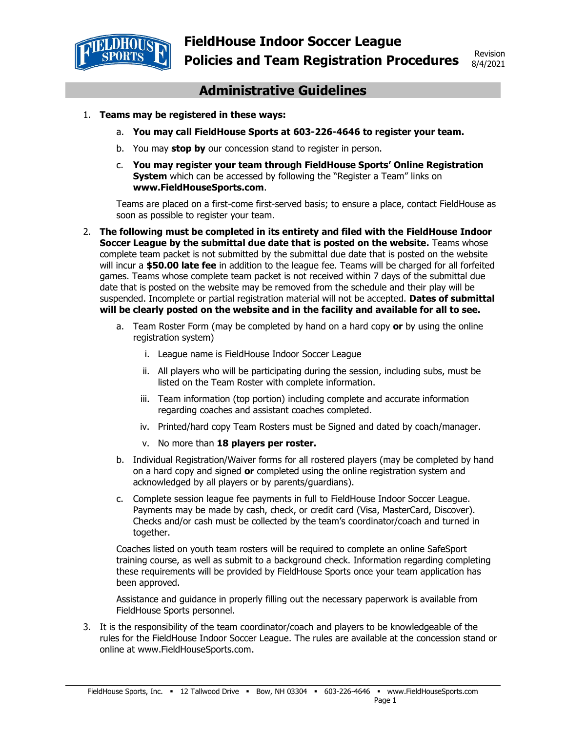

# **Administrative Guidelines**

- 1. **Teams may be registered in these ways:** 
	- a. **You may call FieldHouse Sports at 603-226-4646 to register your team.**
	- b. You may **stop by** our concession stand to register in person.
	- c. **You may register your team through FieldHouse Sports' Online Registration System** which can be accessed by following the "Register a Team" links on **www.FieldHouseSports.com**.

Teams are placed on a first-come first-served basis; to ensure a place, contact FieldHouse as soon as possible to register your team.

- 2. **The following must be completed in its entirety and filed with the FieldHouse Indoor Soccer League by the submittal due date that is posted on the website.** Teams whose complete team packet is not submitted by the submittal due date that is posted on the website will incur a **\$50.00 late fee** in addition to the league fee. Teams will be charged for all forfeited games. Teams whose complete team packet is not received within 7 days of the submittal due date that is posted on the website may be removed from the schedule and their play will be suspended. Incomplete or partial registration material will not be accepted. **Dates of submittal will be clearly posted on the website and in the facility and available for all to see.**
	- a. Team Roster Form (may be completed by hand on a hard copy **or** by using the online registration system)
		- i. League name is FieldHouse Indoor Soccer League
		- ii. All players who will be participating during the session, including subs, must be listed on the Team Roster with complete information.
		- iii. Team information (top portion) including complete and accurate information regarding coaches and assistant coaches completed.
		- iv. Printed/hard copy Team Rosters must be Signed and dated by coach/manager.
		- v. No more than **18 players per roster.**
	- b. Individual Registration/Waiver forms for all rostered players (may be completed by hand on a hard copy and signed **or** completed using the online registration system and acknowledged by all players or by parents/guardians).
	- c. Complete session league fee payments in full to FieldHouse Indoor Soccer League. Payments may be made by cash, check, or credit card (Visa, MasterCard, Discover). Checks and/or cash must be collected by the team's coordinator/coach and turned in together.

Coaches listed on youth team rosters will be required to complete an online SafeSport training course, as well as submit to a background check. Information regarding completing these requirements will be provided by FieldHouse Sports once your team application has been approved.

Assistance and guidance in properly filling out the necessary paperwork is available from FieldHouse Sports personnel.

3. It is the responsibility of the team coordinator/coach and players to be knowledgeable of the rules for the FieldHouse Indoor Soccer League. The rules are available at the concession stand or online at www.FieldHouseSports.com.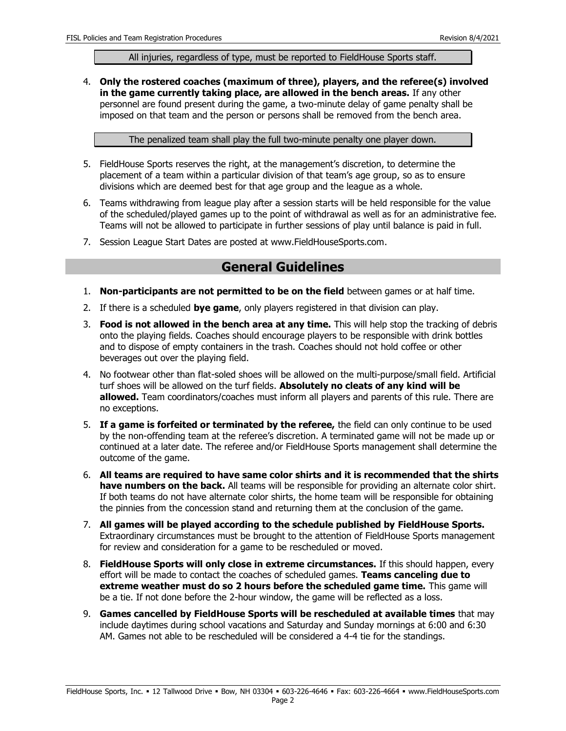#### All injuries, regardless of type, must be reported to FieldHouse Sports staff.

4. **Only the rostered coaches (maximum of three), players, and the referee(s) involved in the game currently taking place, are allowed in the bench areas.** If any other personnel are found present during the game, a two-minute delay of game penalty shall be imposed on that team and the person or persons shall be removed from the bench area.

The penalized team shall play the full two-minute penalty one player down.

- 5. FieldHouse Sports reserves the right, at the management's discretion, to determine the placement of a team within a particular division of that team's age group, so as to ensure divisions which are deemed best for that age group and the league as a whole.
- 6. Teams withdrawing from league play after a session starts will be held responsible for the value of the scheduled/played games up to the point of withdrawal as well as for an administrative fee. Teams will not be allowed to participate in further sessions of play until balance is paid in full.
- 7. Session League Start Dates are posted at www.FieldHouseSports.com.

## **General Guidelines**

- 1. **Non-participants are not permitted to be on the field** between games or at half time.
- 2. If there is a scheduled **bye game**, only players registered in that division can play.
- 3. **Food is not allowed in the bench area at any time.** This will help stop the tracking of debris onto the playing fields. Coaches should encourage players to be responsible with drink bottles and to dispose of empty containers in the trash. Coaches should not hold coffee or other beverages out over the playing field.
- 4. No footwear other than flat-soled shoes will be allowed on the multi-purpose/small field. Artificial turf shoes will be allowed on the turf fields. **Absolutely no cleats of any kind will be allowed.** Team coordinators/coaches must inform all players and parents of this rule. There are no exceptions.
- 5. **If a game is forfeited or terminated by the referee,** the field can only continue to be used by the non-offending team at the referee's discretion. A terminated game will not be made up or continued at a later date. The referee and/or FieldHouse Sports management shall determine the outcome of the game.
- 6. **All teams are required to have same color shirts and it is recommended that the shirts have numbers on the back.** All teams will be responsible for providing an alternate color shirt. If both teams do not have alternate color shirts, the home team will be responsible for obtaining the pinnies from the concession stand and returning them at the conclusion of the game.
- 7. **All games will be played according to the schedule published by FieldHouse Sports.** Extraordinary circumstances must be brought to the attention of FieldHouse Sports management for review and consideration for a game to be rescheduled or moved.
- 8. **FieldHouse Sports will only close in extreme circumstances.** If this should happen, every effort will be made to contact the coaches of scheduled games. **Teams canceling due to extreme weather must do so 2 hours before the scheduled game time.** This game will be a tie. If not done before the 2-hour window, the game will be reflected as a loss.
- 9. **Games cancelled by FieldHouse Sports will be rescheduled at available times** that may include daytimes during school vacations and Saturday and Sunday mornings at 6:00 and 6:30 AM. Games not able to be rescheduled will be considered a 4-4 tie for the standings.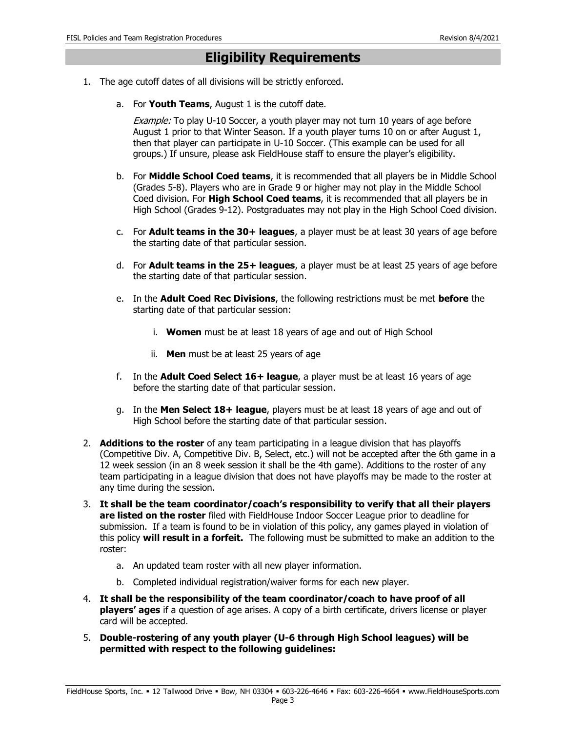### **Eligibility Requirements**

- 1. The age cutoff dates of all divisions will be strictly enforced.
	- a. For **Youth Teams**, August 1 is the cutoff date.

Example: To play U-10 Soccer, a youth player may not turn 10 years of age before August 1 prior to that Winter Season. If a youth player turns 10 on or after August 1, then that player can participate in U-10 Soccer. (This example can be used for all groups.) If unsure, please ask FieldHouse staff to ensure the player's eligibility.

- b. For **Middle School Coed teams**, it is recommended that all players be in Middle School (Grades 5-8). Players who are in Grade 9 or higher may not play in the Middle School Coed division. For **High School Coed teams**, it is recommended that all players be in High School (Grades 9-12). Postgraduates may not play in the High School Coed division.
- c. For **Adult teams in the 30+ leagues**, a player must be at least 30 years of age before the starting date of that particular session.
- d. For **Adult teams in the 25+ leagues**, a player must be at least 25 years of age before the starting date of that particular session.
- e. In the **Adult Coed Rec Divisions**, the following restrictions must be met **before** the starting date of that particular session:
	- i. **Women** must be at least 18 years of age and out of High School
	- ii. **Men** must be at least 25 years of age
- f. In the **Adult Coed Select 16+ league**, a player must be at least 16 years of age before the starting date of that particular session.
- g. In the **Men Select 18+ league**, players must be at least 18 years of age and out of High School before the starting date of that particular session.
- 2. **Additions to the roster** of any team participating in a league division that has playoffs (Competitive Div. A, Competitive Div. B, Select, etc.) will not be accepted after the 6th game in a 12 week session (in an 8 week session it shall be the 4th game). Additions to the roster of any team participating in a league division that does not have playoffs may be made to the roster at any time during the session.
- 3. **It shall be the team coordinator/coach's responsibility to verify that all their players are listed on the roster** filed with FieldHouse Indoor Soccer League prior to deadline for submission. If a team is found to be in violation of this policy, any games played in violation of this policy **will result in a forfeit.** The following must be submitted to make an addition to the roster:
	- a. An updated team roster with all new player information.
	- b. Completed individual registration/waiver forms for each new player.
- 4. **It shall be the responsibility of the team coordinator/coach to have proof of all players' ages** if a question of age arises. A copy of a birth certificate, drivers license or player card will be accepted.
- 5. **Double-rostering of any youth player (U-6 through High School leagues) will be permitted with respect to the following guidelines:**